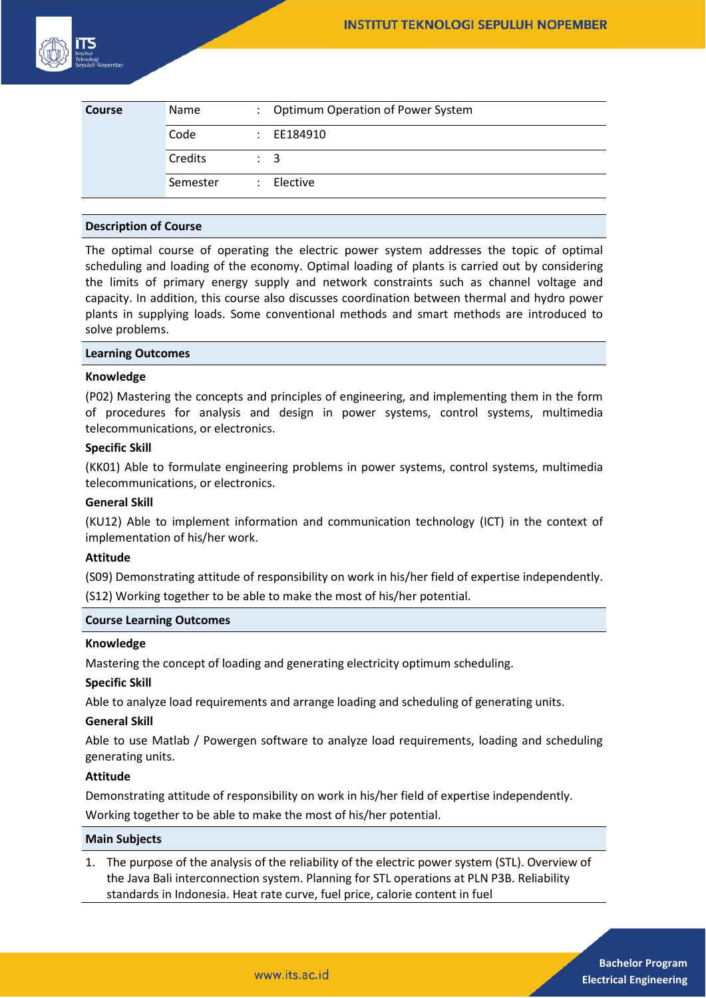

| <b>Course</b> | Name     | : Optimum Operation of Power System |
|---------------|----------|-------------------------------------|
|               | Code     | $\therefore$ EE184910               |
|               | Credits  | $\therefore$ 3                      |
|               | Semester | $\therefore$ Elective               |

## **Description of Course**

The optimal course of operating the electric power system addresses the topic of optimal scheduling and loading of the economy. Optimal loading of plants is carried out by considering the limits of primary energy supply and network constraints such as channel voltage and capacity. In addition, this course also discusses coordination between thermal and hydro power plants in supplying loads. Some conventional methods and smart methods are introduced to solve problems.

#### **Learning Outcomes**

#### **Knowledge**

(P02) Mastering the concepts and principles of engineering, and implementing them in the form of procedures for analysis and design in power systems, control systems, multimedia telecommunications, or electronics.

## **Specific Skill**

(KK01) Able to formulate engineering problems in power systems, control systems, multimedia telecommunications, or electronics.

## **General Skill**

(KU12) Able to implement information and communication technology (ICT) in the context of implementation of his/her work.

#### **Attitude**

(S09) Demonstrating attitude of responsibility on work in his/her field of expertise independently. (S12) Working together to be able to make the most of his/her potential.

#### **Course Learning Outcomes**

#### **Knowledge**

Mastering the concept of loading and generating electricity optimum scheduling.

# **Specific Skill**

Able to analyze load requirements and arrange loading and scheduling of generating units.

## **General Skill**

Able to use Matlab / Powergen software to analyze load requirements, loading and scheduling generating units.

# **Attitude**

Demonstrating attitude of responsibility on work in his/her field of expertise independently.

Working together to be able to make the most of his/her potential.

# **Main Subjects**

1. The purpose of the analysis of the reliability of the electric power system (STL). Overview of the Java Bali interconnection system. Planning for STL operations at PLN P3B. Reliability standards in Indonesia. Heat rate curve, fuel price, calorie content in fuel